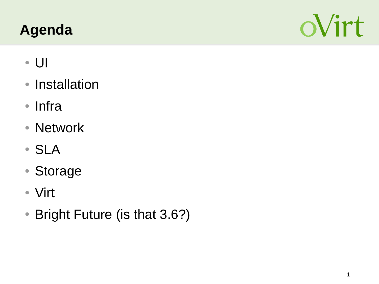# **Agenda**



- UI
- Installation
- Infra
- Network
- SLA
- Storage
- Virt
- Bright Future (is that 3.6?)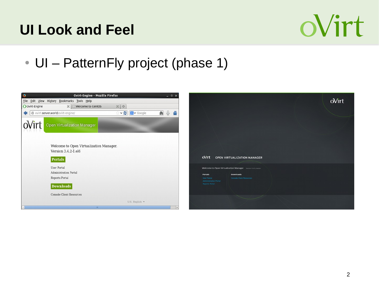# **UI Look and Feel**



#### • UI – PatternFly project (phase 1)

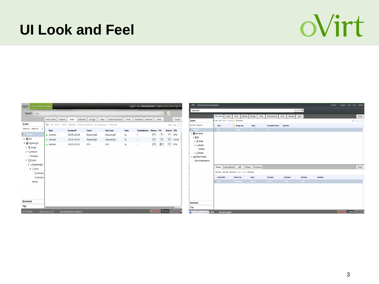#### **UI Look and Feel**

# oVirt

| Search: Host                                                                                                                                         |              |                 |                   |                 |                                                                                             |              |                    |               |                         |                |             |              | x * P          |        |
|------------------------------------------------------------------------------------------------------------------------------------------------------|--------------|-----------------|-------------------|-----------------|---------------------------------------------------------------------------------------------|--------------|--------------------|---------------|-------------------------|----------------|-------------|--------------|----------------|--------|
|                                                                                                                                                      | Data Centers | <b>Clusters</b> | <b>Hosts</b>      | <b>Networks</b> | Storage                                                                                     | <b>Disks</b> | Virtual Machines   | Pools         | Templates               | <b>Volumes</b> |             | <b>Users</b> |                | Events |
| System                                                                                                                                               |              |                 |                   |                 | New Edit Remove Activate Maintenance Configure Local Storage Power Management . Assign Tags |              |                    |               |                         |                |             |              |                | $2+11$ |
| Expand All Collapse All<br>ø                                                                                                                         | Hame         |                 | <b>Hostname#P</b> |                 | Cluster                                                                                     |              | <b>Data Center</b> | <b>Status</b> | <b>Virtual Machines</b> |                | Memory CPU  |              | <b>Network</b> | SPM    |
| v @System                                                                                                                                            | wirthode1    |                 | 192.168.125.108   |                 | Engineering32                                                                               |              | Engineering32      | Up            | $\overline{2}$          |                | 12%         | 3%           | 0%             | SPM    |
| <b>BDCN</b><br>r                                                                                                                                     | wirtnode2    |                 | 192.168.125.107   |                 | Engineering32                                                                               |              | Engineering32      | Up            | 1                       |                | 10%         | $0\%$        | 0%             | Normal |
| Engineering32<br>۷<br>Storage<br>þ.                                                                                                                  | wirtmode3    |                 | 192.168.125.212   |                 | DCN                                                                                         |              | DCN                | Up            |                         |                | $\vert$ 11% | 23%          | $0\%$          | SPM    |
| > < Networks<br>Templates<br>v © Clusters<br>$\Psi$ $\bigcirc$ Engineering 32<br>$V$ $\theta$ Hosts<br>0 ovirtnode1<br>0 ovirtnode2<br><b>EX VMs</b> |              |                 |                   |                 |                                                                                             |              |                    |               |                         |                |             |              |                |        |
| <b>Bookmarks</b>                                                                                                                                     |              |                 |                   |                 |                                                                                             |              |                    |               |                         |                |             |              |                |        |
| Tags                                                                                                                                                 |              |                 |                   |                 |                                                                                             |              |                    |               |                         |                |             |              |                |        |

| OVITE OPEN VIRTUALIZATION MANAGER                                                                                                                                                                                              |                         |                                                                  |                         |                              |                    |                    |             | Ladmin v Configure Guide About Feedback |  |             |
|--------------------------------------------------------------------------------------------------------------------------------------------------------------------------------------------------------------------------------|-------------------------|------------------------------------------------------------------|-------------------------|------------------------------|--------------------|--------------------|-------------|-----------------------------------------|--|-------------|
| DataCenter:                                                                                                                                                                                                                    |                         |                                                                  |                         |                              |                    | $x \times Q$       |             |                                         |  |             |
|                                                                                                                                                                                                                                | <b>Data Centers</b>     | Clusters<br>Hosts                                                | Networks Storage        | Virtual Machines<br>Disks    | Pools<br>Templates | Users              |             |                                         |  | Events      |
| System                                                                                                                                                                                                                         |                         | New Edit Remove Force Remove & Guide Me                          |                         |                              |                    |                    |             |                                         |  | $P$ M $(1)$ |
| Expand All Colleges All                                                                                                                                                                                                        | ٥<br>Name               | Storage Type                                                     | <b>Status</b>           | <b>Compatibility Version</b> | Description        |                    |             |                                         |  |             |
| 7 System                                                                                                                                                                                                                       | $\triangle$ 00 $\angle$ | Shared                                                           | $U_0$                   | 3.5                          |                    |                    |             |                                         |  |             |
| v <b>El</b> Data Centers<br>$v \otimes 00$<br>$\triangleright$ ( $\frac{1}{3}$ Storage<br>$b - \frac{1}{2}$ . Networks<br>Templates<br>$\triangleright$ <b>Quaters</b><br>v All External Providers<br>O ovirt-image-repository | Storage                 | Logical Networks<br>$Q0$ \$                                      | Permissions<br>Clusters |                              |                    |                    |             |                                         |  | Events      |
|                                                                                                                                                                                                                                |                         | Attach Data Attach ISO Attach Export Detech Activate Maintenance |                         |                              |                    |                    |             |                                         |  |             |
|                                                                                                                                                                                                                                | <b>Domain Name</b>      | Domain Type                                                      | <b>Status</b>           | Free Space                   | Used Space         | <b>Total Space</b> | Description |                                         |  |             |
|                                                                                                                                                                                                                                | A and                   | Data (Master)                                                    | Active                  | $26$ GB                      | 70 G/B             | 95 GB              |             |                                         |  |             |
|                                                                                                                                                                                                                                |                         |                                                                  |                         |                              |                    |                    |             |                                         |  |             |
| Bookmarks<br>Tags                                                                                                                                                                                                              |                         |                                                                  |                         |                              |                    |                    |             |                                         |  |             |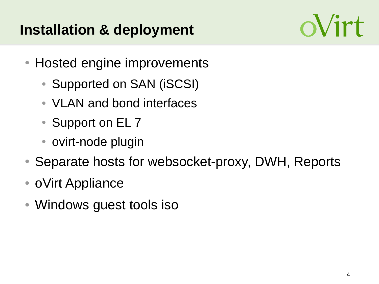# **Installation & deployment**



- Hosted engine improvements
	- Supported on SAN (iSCSI)
	- VLAN and bond interfaces
	- Support on EL 7
	- ovirt-node plugin
- Separate hosts for websocket-proxy, DWH, Reports
- oVirt Appliance
- Windows guest tools iso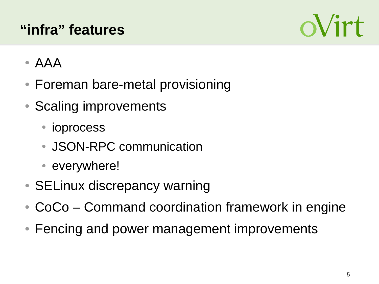# **"infra" features**



- AAA
- Foreman bare-metal provisioning
- Scaling improvements
	- ioprocess
	- JSON-RPC communication
	- everywhere!
- SELinux discrepancy warning
- $\bullet$  CoCo Command coordination framework in engine
- Fencing and power management improvements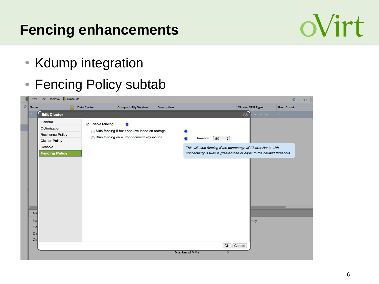# **Fencing enhancements**



- Kdump integration
- Fencing Policy subtab

| E.   |                                   | New Edit Remove E Guide Me                                                                                       |                    |                                                                                                    |                    |                                                                                                                                                                        |                           | $21 - 1 - 1$      |
|------|-----------------------------------|------------------------------------------------------------------------------------------------------------------|--------------------|----------------------------------------------------------------------------------------------------|--------------------|------------------------------------------------------------------------------------------------------------------------------------------------------------------------|---------------------------|-------------------|
| Name |                                   |                                                                                                                  | <b>Data Center</b> | <b>Compatibility Version</b>                                                                       | <b>Description</b> |                                                                                                                                                                        | <b>Cluster CPU Type</b>   | <b>Host Count</b> |
|      |                                   | <b>Edit Cluster</b>                                                                                              |                    |                                                                                                    |                    |                                                                                                                                                                        | roe Family<br>$\circledR$ | $\mathbf{1}$      |
|      | Ge<br>Na<br>De<br><b>Da</b><br>Co | General<br>Optimization<br><b>Resilience Policy</b><br><b>Cluster Policy</b><br>Console<br><b>Fencing Policy</b> | √ Enable fencing   | ⋒<br>Skip fencing if host has live lease on storage<br>Skip fencing on cluster connectivity issues |                    | Threshold<br>50<br>$ \div $<br>This will skip fencing if the percentage of Cluster Hosts with<br>connectivity issues is greater than or equal to the defined threshold | mily                      |                   |
|      |                                   |                                                                                                                  |                    |                                                                                                    |                    | OK<br>Number of VMs:<br>3                                                                                                                                              | Cancel                    |                   |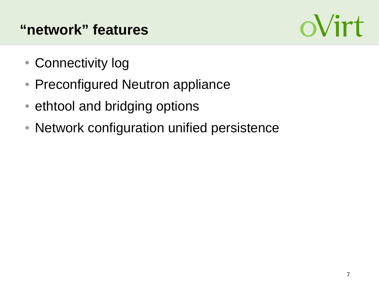# **"network" features**



- Connectivity log
- Preconfigured Neutron appliance
- ethtool and bridging options
- Network configuration unified persistence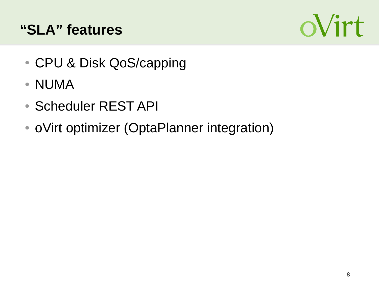#### **"SLA" features**



- CPU & Disk QoS/capping
- NUMA
- Scheduler REST API
- oVirt optimizer (OptaPlanner integration)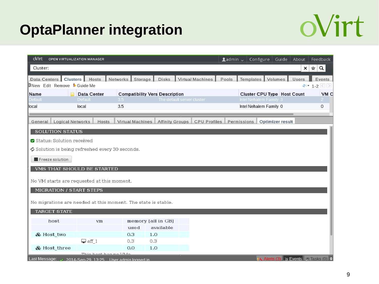# **OptaPlanner integration**



| oVirt<br>OPEN VIRTUALIZATION MANAGER                                                                           |                      |                         |                                       |                            | $\triangle$ admin $\sim$ |                        | Configure $ $ Guide $ $ | About                                              | Feedback                                  |
|----------------------------------------------------------------------------------------------------------------|----------------------|-------------------------|---------------------------------------|----------------------------|--------------------------|------------------------|-------------------------|----------------------------------------------------|-------------------------------------------|
| Cluster:                                                                                                       |                      |                         |                                       |                            |                          |                        |                         | ×                                                  | ☆<br>$\alpha$                             |
| Data Centers   Clusters   Hosts<br>New Edit Remove & Guide Me                                                  |                      | Networks Storage        | <b>Disks</b>                          | Virtual Machines           | Pools                    | Templates Volumes      |                         | Users                                              | Events<br>$e$ $\cdot$ 1-2 $\odot$ $\circ$ |
| Name                                                                                                           | <b>Data Center</b>   |                         | <b>Compatibility Vers Description</b> |                            |                          |                        |                         | Cluster CPU Type   Host Count                      | VM <sub>C</sub>                           |
| )efault                                                                                                        | <b>Default</b>       | 3.5                     |                                       | The default server cluster |                          | Intel Nehalem Family 3 |                         |                                                    | $2 -$                                     |
| llocal                                                                                                         | local                | 3.5                     |                                       |                            |                          | Intel Nehalem Family 0 |                         |                                                    | 0                                         |
| <b>Logical Networks</b><br>General                                                                             | Hosts                | <b>Virtual Machines</b> | Affinity Groups                       | <b>CPU Profiles</b>        |                          | Permissions            | Optimizer result        |                                                    |                                           |
| <b>SOLUTION STATUS</b>                                                                                         |                      |                         |                                       |                            |                          |                        |                         |                                                    |                                           |
| Status: Solution received                                                                                      |                      |                         |                                       |                            |                          |                        |                         |                                                    |                                           |
| $\bm{\mathcal{G}}$ Solution is being refreshed every 30 seconds.                                               |                      |                         |                                       |                            |                          |                        |                         |                                                    |                                           |
| Freeze solution                                                                                                |                      |                         |                                       |                            |                          |                        |                         |                                                    |                                           |
| VMS THAT SHOULD BE STARTED                                                                                     |                      |                         |                                       |                            |                          |                        |                         |                                                    |                                           |
| No VM starts are requested at this moment.                                                                     |                      |                         |                                       |                            |                          |                        |                         |                                                    |                                           |
| MIGRATION / START STEPS                                                                                        |                      |                         |                                       |                            |                          |                        |                         |                                                    |                                           |
|                                                                                                                |                      |                         |                                       |                            |                          |                        |                         |                                                    |                                           |
| No migrations are needed at this moment. The state is stable.                                                  |                      |                         |                                       |                            |                          |                        |                         |                                                    |                                           |
| <b>TARGET STATE</b>                                                                                            |                      |                         |                                       |                            |                          |                        |                         |                                                    |                                           |
| host                                                                                                           | vm                   |                         | memory [all in GB]<br>available       |                            |                          |                        |                         |                                                    |                                           |
| & Host two                                                                                                     |                      | used<br>0.3             | 1.0                                   |                            |                          |                        |                         |                                                    |                                           |
|                                                                                                                | $\Box$ aff 1         | 0.3                     | 0.3                                   |                            |                          |                        |                         |                                                    |                                           |
| & Host three                                                                                                   |                      | 0.0                     | 1.0                                   |                            |                          |                        |                         |                                                    |                                           |
| Last Message: $\overline{\smash[b]{\mathcal{S}^{0.014\text{-}S_{e0}\text{-}29.13:25}}}$ User admin logged in L | This hoot has no WMs |                         |                                       |                            |                          |                        |                         | <b>Alerts (3)</b> Events <b>F</b> Tasks (0) $\div$ |                                           |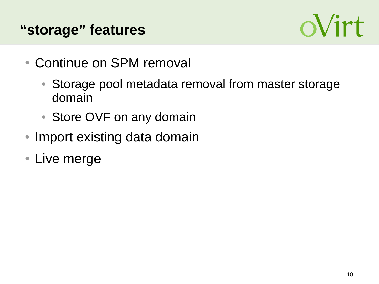#### **"storage" features**



- Continue on SPM removal
	- Storage pool metadata removal from master storage domain
	- Store OVF on any domain
- Import existing data domain
- Live merge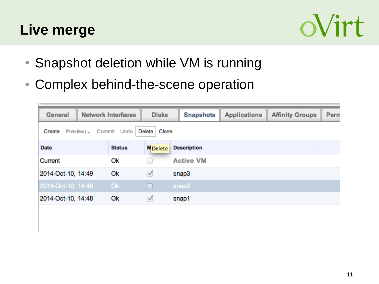#### **Live merge**



- Snapshot deletion while VM is running
- Complex behind-the-scene operation

| General            | <b>Network Interfaces</b> |               | <b>Disks</b>    | <b>Snapshots</b>   | <b>Applications</b> | <b>Affinity Groups</b> | Perm |
|--------------------|---------------------------|---------------|-----------------|--------------------|---------------------|------------------------|------|
| Create             | Preview   Commit Undo     |               | Clone<br>Delete |                    |                     |                        |      |
| <b>Date</b>        |                           | <b>Status</b> | <b>M</b> Delete | <b>Description</b> |                     |                        |      |
| Current            |                           | Ok            |                 | <b>Active VM</b>   |                     |                        |      |
| 2014-Oct-10, 14:49 |                           | Ok            | ☑               | snap3              |                     |                        |      |
| 2014-Oct-10, 14:48 |                           | Ok.           |                 | snap2              |                     |                        |      |
| 2014-Oct-10, 14:48 |                           | Ok            | ☑               | snap1              |                     |                        |      |
|                    |                           |               |                 |                    |                     |                        |      |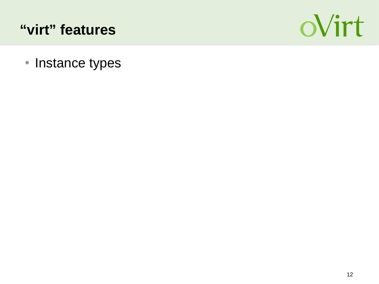#### **"virt" features**



• Instance types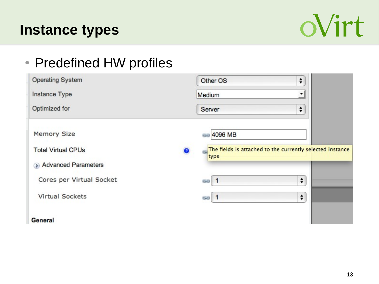#### **Instance types**



#### • Predefined HW profiles

| <b>Operating System</b>   | Other OS<br>÷                                                          |
|---------------------------|------------------------------------------------------------------------|
| Instance Type             | Medium<br>▼                                                            |
| Optimized for             | ÷<br>Server                                                            |
| <b>Memory Size</b>        | <b>69 4096 MB</b>                                                      |
| <b>Total Virtual CPUs</b> | The fields is attached to the currently selected instance<br>Ø<br>type |
| Advanced Parameters       |                                                                        |
| Cores per Virtual Socket  | ÷<br>50 <sup>1</sup>                                                   |
| <b>Virtual Sockets</b>    | ÷<br>$50-1$                                                            |
| General                   |                                                                        |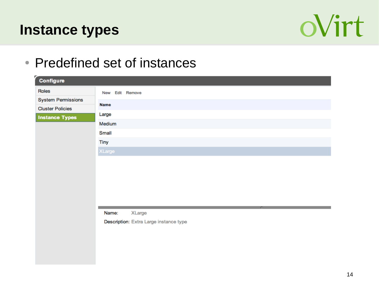#### **Instance types**



#### • Predefined set of instances

| Configure                                            |                                        |  |  |  |  |  |  |  |  |
|------------------------------------------------------|----------------------------------------|--|--|--|--|--|--|--|--|
| Roles                                                | New Edit Remove                        |  |  |  |  |  |  |  |  |
| <b>System Permissions</b><br><b>Cluster Policies</b> | Name                                   |  |  |  |  |  |  |  |  |
| <b>Instance Types</b>                                | Large                                  |  |  |  |  |  |  |  |  |
|                                                      | Medium                                 |  |  |  |  |  |  |  |  |
|                                                      | Small                                  |  |  |  |  |  |  |  |  |
|                                                      | Tiny                                   |  |  |  |  |  |  |  |  |
|                                                      | XLarge                                 |  |  |  |  |  |  |  |  |
|                                                      |                                        |  |  |  |  |  |  |  |  |
|                                                      |                                        |  |  |  |  |  |  |  |  |
|                                                      |                                        |  |  |  |  |  |  |  |  |
|                                                      |                                        |  |  |  |  |  |  |  |  |
|                                                      |                                        |  |  |  |  |  |  |  |  |
|                                                      |                                        |  |  |  |  |  |  |  |  |
|                                                      | Name:<br>XLarge                        |  |  |  |  |  |  |  |  |
|                                                      | Description: Extra Large instance type |  |  |  |  |  |  |  |  |
|                                                      |                                        |  |  |  |  |  |  |  |  |
|                                                      |                                        |  |  |  |  |  |  |  |  |
|                                                      |                                        |  |  |  |  |  |  |  |  |
|                                                      |                                        |  |  |  |  |  |  |  |  |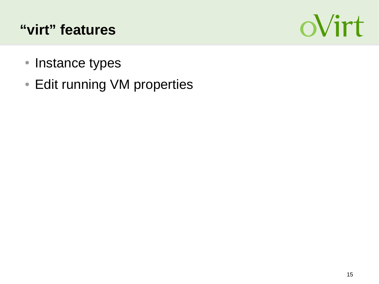## **"virt" features**



- Instance types
- Edit running VM properties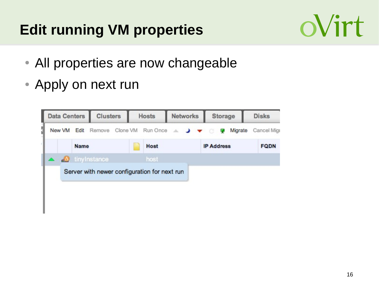# **Edit running VM properties**



- All properties are now changeable
- Apply on next run

| <b>Data Centers</b> |        | <b>Clusters</b> |                                                                               | <b>Hosts</b> |  | <b>Networks</b> |  | <b>Storage</b> |  |                   | <b>Disks</b> |         |  |             |
|---------------------|--------|-----------------|-------------------------------------------------------------------------------|--------------|--|-----------------|--|----------------|--|-------------------|--------------|---------|--|-------------|
|                     | New VM |                 | Edit Remove Clone VM Run Once $\triangle$ $\rightarrow$ $\blacktriangleright$ |              |  |                 |  |                |  |                   | г.           | Migrate |  | Cancel Migr |
|                     |        | <b>Name</b>     |                                                                               |              |  | Host            |  |                |  | <b>IP Address</b> |              |         |  | <b>FQDN</b> |
|                     |        |                 | tinyInstance                                                                  |              |  | host            |  |                |  |                   |              |         |  |             |
|                     |        |                 | Server with newer configuration for next run                                  |              |  |                 |  |                |  |                   |              |         |  |             |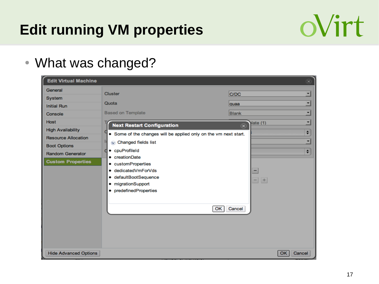# **Edit running VM properties**



• What was changed?

| <b>Edit Virtual Machine</b>                                                                                                                                                                 |                                                                                                                                                                                                                                                                                                                                                   | $(\widehat{\mathbf{x}})$                                                                                                                |
|---------------------------------------------------------------------------------------------------------------------------------------------------------------------------------------------|---------------------------------------------------------------------------------------------------------------------------------------------------------------------------------------------------------------------------------------------------------------------------------------------------------------------------------------------------|-----------------------------------------------------------------------------------------------------------------------------------------|
| General<br>System<br><b>Initial Run</b><br>Console<br>Host<br><b>High Availability</b><br><b>Resource Allocation</b><br><b>Boot Options</b><br>Random Generator<br><b>Custom Properties</b> | Cluster<br>Quota<br><b>Based on Template</b><br><b>Next Restart Configuration</b><br>• Some of the changes will be applied only on the vm next start.<br>Changed fields list<br>• cpuProfileId<br>a<br>• creationDate<br>• customProperties<br>· dedicatedVmForVds<br>· defaultBootSequence<br>• migrationSupport<br>• predefinedProperties<br>OK | $\vert$<br>C/DC<br>ᅬ<br>quaa<br>≖<br><b>Blank</b><br>⊻<br>late (1)<br>$\circledast$<br>$\div$<br>$\vert$<br>$\div$<br>÷.<br>-<br>Cancel |
| <b>Hide Advanced Options</b>                                                                                                                                                                |                                                                                                                                                                                                                                                                                                                                                   | Cancel<br>OK                                                                                                                            |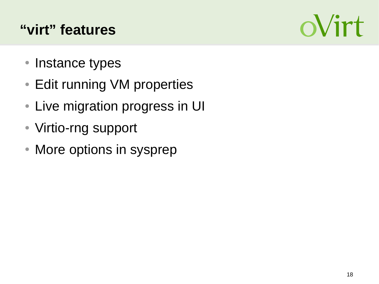# **"virt" features**



- Instance types
- Edit running VM properties
- Live migration progress in UI
- Virtio-rng support
- More options in sysprep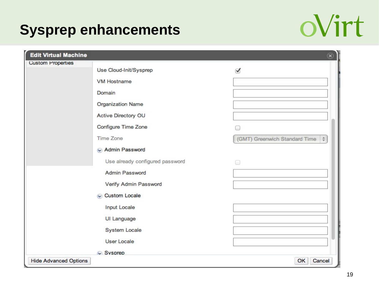# **Sysprep enhancements**



| <b>Edit Virtual Machine</b>  |                                 | $\circledast$                        |
|------------------------------|---------------------------------|--------------------------------------|
| <b>Custom Properties</b>     |                                 |                                      |
|                              | Use Cloud-Init/Sysprep          | ✔                                    |
|                              | <b>VM Hostname</b>              |                                      |
|                              | Domain                          |                                      |
|                              | <b>Organization Name</b>        |                                      |
|                              | Active Directory OU             |                                      |
|                              | Configure Time Zone             |                                      |
|                              | <b>Time Zone</b>                | (GMT) Greenwich Standard Time $\phi$ |
|                              | Admin Password                  |                                      |
|                              | Use already configured password | 9                                    |
|                              | Admin Password                  |                                      |
|                              | Verify Admin Password           |                                      |
|                              | Custom Locale                   |                                      |
|                              | <b>Input Locale</b>             |                                      |
|                              | UI Language                     |                                      |
|                              | System Locale                   |                                      |
|                              | User Locale                     |                                      |
|                              | Sysprep                         |                                      |
| <b>Hide Advanced Options</b> |                                 | Cancel<br>OK                         |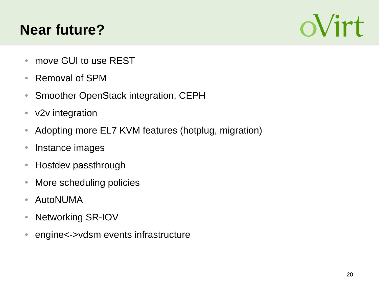# **Near future?**



- move GUI to use REST
- Removal of SPM
- Smoother OpenStack integration, CEPH
- v2v integration
- Adopting more EL7 KVM features (hotplug, migration)
- Instance images
- Hostdev passthrough
- More scheduling policies
- AutoNUMA
- Networking SR-IOV
- engine<->vdsm events infrastructure